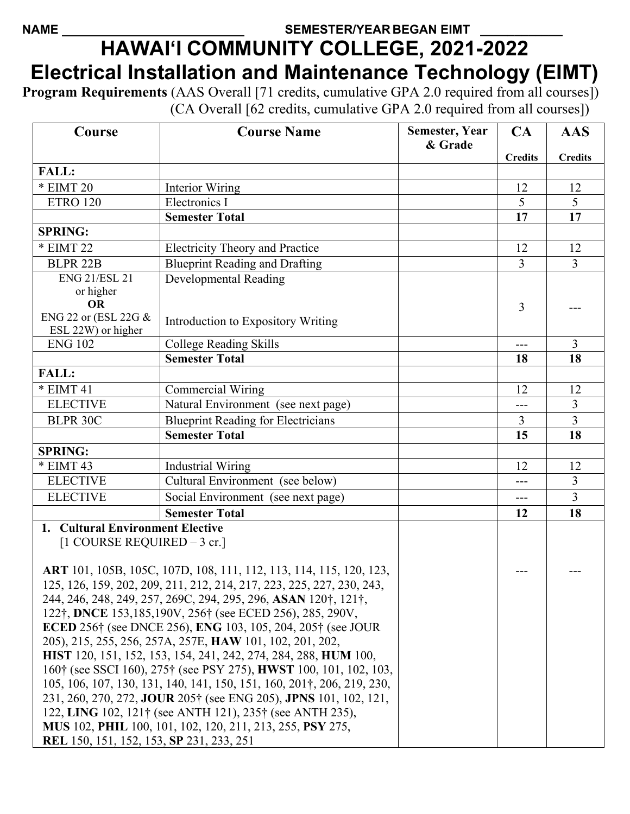## NAME SEMESTER/YEAR BEGAN EIMT **HAWAI'I COMMUNITY COLLEGE, 2021-2022 Electrical Installation and Maintenance Technology (EIMT)**

**Program Requirements** (AAS Overall [71 credits, cumulative GPA 2.0 required from all courses]) (CA Overall [62 credits, cumulative GPA 2.0 required from all courses])

| Course                                                                                                                                                              | <b>Course Name</b>                                                                                                                      | <b>Semester, Year</b><br>& Grade | CA             | <b>AAS</b>     |
|---------------------------------------------------------------------------------------------------------------------------------------------------------------------|-----------------------------------------------------------------------------------------------------------------------------------------|----------------------------------|----------------|----------------|
|                                                                                                                                                                     |                                                                                                                                         |                                  | <b>Credits</b> | <b>Credits</b> |
| <b>FALL:</b>                                                                                                                                                        |                                                                                                                                         |                                  |                |                |
| * EIMT 20                                                                                                                                                           | Interior Wiring                                                                                                                         |                                  | 12             | 12             |
| <b>ETRO 120</b>                                                                                                                                                     | Electronics I                                                                                                                           |                                  | 5              | 5              |
|                                                                                                                                                                     | <b>Semester Total</b>                                                                                                                   |                                  | 17             | 17             |
| <b>SPRING:</b>                                                                                                                                                      |                                                                                                                                         |                                  |                |                |
| * EIMT 22                                                                                                                                                           | <b>Electricity Theory and Practice</b>                                                                                                  |                                  | 12             | 12             |
| <b>BLPR 22B</b>                                                                                                                                                     | <b>Blueprint Reading and Drafting</b>                                                                                                   |                                  | 3              | $\overline{3}$ |
| <b>ENG 21/ESL 21</b>                                                                                                                                                | <b>Developmental Reading</b>                                                                                                            |                                  |                |                |
| or higher                                                                                                                                                           |                                                                                                                                         |                                  |                |                |
| <b>OR</b>                                                                                                                                                           |                                                                                                                                         |                                  | 3              |                |
| ENG 22 or (ESL 22G &<br>ESL 22W) or higher                                                                                                                          | Introduction to Expository Writing                                                                                                      |                                  |                |                |
| <b>ENG 102</b>                                                                                                                                                      | <b>College Reading Skills</b>                                                                                                           |                                  | $---$          | 3              |
|                                                                                                                                                                     | <b>Semester Total</b>                                                                                                                   |                                  | 18             | 18             |
| <b>FALL:</b>                                                                                                                                                        |                                                                                                                                         |                                  |                |                |
| * EIMT 41                                                                                                                                                           | <b>Commercial Wiring</b>                                                                                                                |                                  | 12             | 12             |
| <b>ELECTIVE</b>                                                                                                                                                     | Natural Environment (see next page)                                                                                                     |                                  | $---$          | $\overline{3}$ |
| <b>BLPR 30C</b>                                                                                                                                                     | <b>Blueprint Reading for Electricians</b>                                                                                               |                                  | $\overline{3}$ | $\overline{3}$ |
|                                                                                                                                                                     | <b>Semester Total</b>                                                                                                                   |                                  | 15             | 18             |
| <b>SPRING:</b>                                                                                                                                                      |                                                                                                                                         |                                  |                |                |
| * EIMT 43                                                                                                                                                           | <b>Industrial Wiring</b>                                                                                                                |                                  | 12             | 12             |
| <b>ELECTIVE</b>                                                                                                                                                     | Cultural Environment (see below)                                                                                                        |                                  | ---            | $\overline{3}$ |
| <b>ELECTIVE</b>                                                                                                                                                     | Social Environment (see next page)                                                                                                      |                                  | $---$          | $\overline{3}$ |
|                                                                                                                                                                     | <b>Semester Total</b>                                                                                                                   |                                  | 12             | 18             |
| 1. Cultural Environment Elective                                                                                                                                    |                                                                                                                                         |                                  |                |                |
| $[1 \text{ COUNSE REQUIRED} - 3 \text{ cr.}]$                                                                                                                       |                                                                                                                                         |                                  |                |                |
|                                                                                                                                                                     |                                                                                                                                         |                                  |                |                |
|                                                                                                                                                                     | ART 101, 105B, 105C, 107D, 108, 111, 112, 113, 114, 115, 120, 123,                                                                      |                                  |                |                |
|                                                                                                                                                                     | 125, 126, 159, 202, 209, 211, 212, 214, 217, 223, 225, 227, 230, 243,<br>244, 246, 248, 249, 257, 269C, 294, 295, 296, ASAN 120†, 121†, |                                  |                |                |
|                                                                                                                                                                     |                                                                                                                                         |                                  |                |                |
| 122†, DNCE 153,185,190V, 256† (see ECED 256), 285, 290V,<br><b>ECED</b> 256 <sup>†</sup> (see DNCE 256), <b>ENG</b> 103, 105, 204, 205 <sup>†</sup> (see JOUR       |                                                                                                                                         |                                  |                |                |
| 205), 215, 255, 256, 257A, 257E, HAW 101, 102, 201, 202,                                                                                                            |                                                                                                                                         |                                  |                |                |
|                                                                                                                                                                     |                                                                                                                                         |                                  |                |                |
| HIST 120, 151, 152, 153, 154, 241, 242, 274, 284, 288, HUM 100,<br>160 <sup>†</sup> (see SSCI 160), 275 <sup>†</sup> (see PSY 275), <b>HWST</b> 100, 101, 102, 103, |                                                                                                                                         |                                  |                |                |
| 105, 106, 107, 130, 131, 140, 141, 150, 151, 160, 201†, 206, 219, 230,                                                                                              |                                                                                                                                         |                                  |                |                |
| 231, 260, 270, 272, JOUR 205† (see ENG 205), JPNS 101, 102, 121,                                                                                                    |                                                                                                                                         |                                  |                |                |
| 122, LING 102, 121† (see ANTH 121), 235† (see ANTH 235),                                                                                                            |                                                                                                                                         |                                  |                |                |
| MUS 102, PHIL 100, 101, 102, 120, 211, 213, 255, PSY 275,                                                                                                           |                                                                                                                                         |                                  |                |                |
| REL 150, 151, 152, 153, SP 231, 233, 251                                                                                                                            |                                                                                                                                         |                                  |                |                |